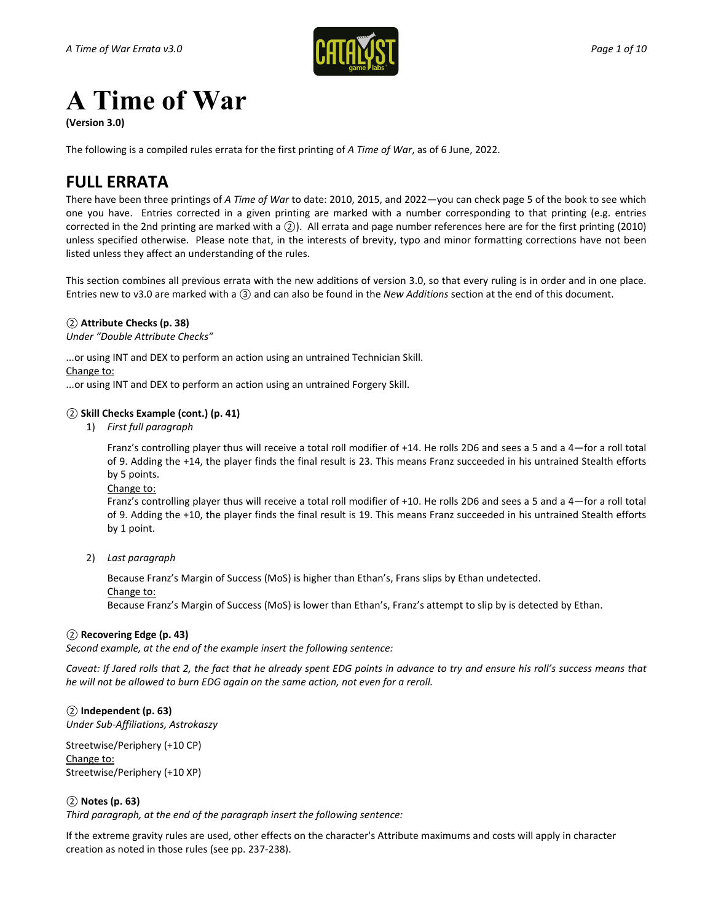

# **A Time of War**

**(Version 3.0)**

The following is a compiled rules errata for the first printing of *A Time of War*, as of 6 June, 2022.

# **FULL ERRATA**

There have been three printings of *A Time of War* to date: 2010, 2015, and 2022—you can check page 5 of the book to see which one you have. Entries corrected in a given printing are marked with a number corresponding to that printing (e.g. entries corrected in the 2nd printing are marked with a *②*). All errata and page number references here are for the first printing (2010) unless specified otherwise. Please note that, in the interests of brevity, typo and minor formatting corrections have not been listed unless they affect an understanding of the rules.

This section combines all previous errata with the new additions of version 3.0, so that every ruling is in order and in one place. Entries new to v3.0 are marked with a *③* and can also be found in the *New Additions* section at the end of this document.

## *②* **Attribute Checks (p. 38)**

*Under "Double Attribute Checks"*

...or using INT and DEX to perform an action using an untrained Technician Skill. Change to:

...or using INT and DEX to perform an action using an untrained Forgery Skill.

## *②* **Skill Checks Example (cont.) (p. 41)**

1) *First full paragraph*

Franz's controlling player thus will receive a total roll modifier of +14. He rolls 2D6 and sees a 5 and a 4—for a roll total of 9. Adding the +14, the player finds the final result is 23. This means Franz succeeded in his untrained Stealth efforts by 5 points.

Change to:

Franz's controlling player thus will receive a total roll modifier of +10. He rolls 2D6 and sees a 5 and a 4—for a roll total of 9. Adding the +10, the player finds the final result is 19. This means Franz succeeded in his untrained Stealth efforts by 1 point.

2) *Last paragraph*

Because Franz's Margin of Success (MoS) is higher than Ethan's, Frans slips by Ethan undetected. Change to:

Because Franz's Margin of Success (MoS) is lower than Ethan's, Franz's attempt to slip by is detected by Ethan.

#### *②* **Recovering Edge (p. 43)**

*Second example, at the end of the example insert the following sentence:*

*Caveat: If Jared rolls that 2, the fact that he already spent EDG points in advance to try and ensure his roll's success means that he will not be allowed to burn EDG again on the same action, not even for a reroll.*

## *②* **Independent (p. 63)**

*Under Sub-Affiliations, Astrokaszy*

Streetwise/Periphery (+10 CP) Change to: Streetwise/Periphery (+10 XP)

## *②* **Notes (p. 63)**

*Third paragraph, at the end of the paragraph insert the following sentence:*

If the extreme gravity rules are used, other effects on the character's Attribute maximums and costs will apply in character creation as noted in those rules (see pp. 237-238).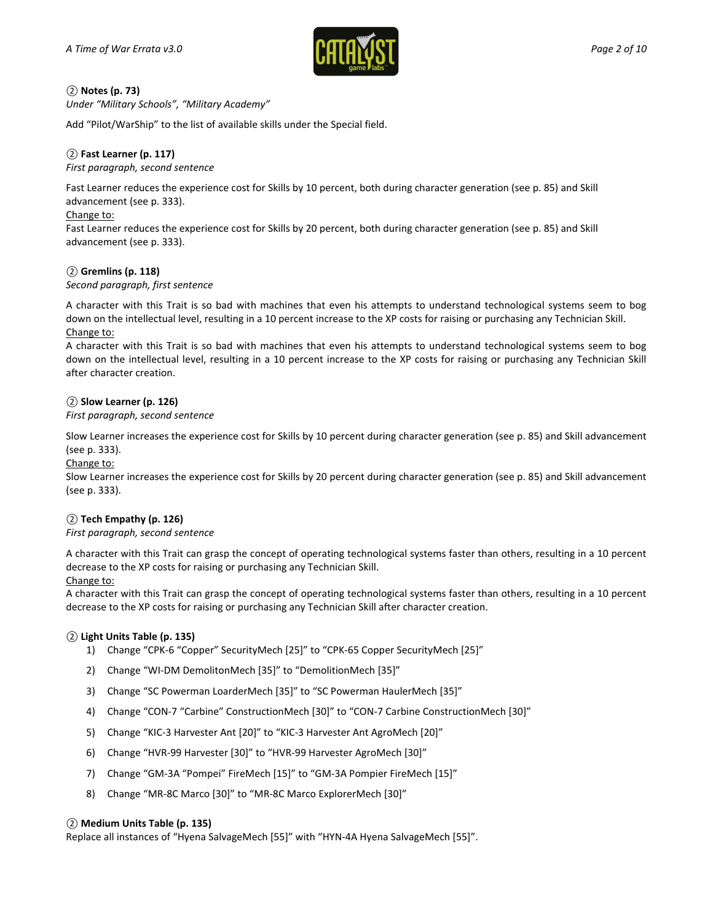

## *②* **Notes (p. 73)**

*Under "Military Schools", "Military Academy"*

Add "Pilot/WarShip" to the list of available skills under the Special field.

## *②* **Fast Learner (p. 117)**

#### *First paragraph, second sentence*

Fast Learner reduces the experience cost for Skills by 10 percent, both during character generation (see p. 85) and Skill advancement (see p. 333).

#### Change to:

Fast Learner reduces the experience cost for Skills by 20 percent, both during character generation (see p. 85) and Skill advancement (see p. 333).

#### *②* **Gremlins (p. 118)**

*Second paragraph, first sentence*

A character with this Trait is so bad with machines that even his attempts to understand technological systems seem to bog down on the intellectual level, resulting in a 10 percent increase to the XP costs for raising or purchasing any Technician Skill. Change to:

A character with this Trait is so bad with machines that even his attempts to understand technological systems seem to bog down on the intellectual level, resulting in a 10 percent increase to the XP costs for raising or purchasing any Technician Skill after character creation.

#### *②* **Slow Learner (p. 126)**

#### *First paragraph, second sentence*

Slow Learner increases the experience cost for Skills by 10 percent during character generation (see p. 85) and Skill advancement (see p. 333).

Change to:

Slow Learner increases the experience cost for Skills by 20 percent during character generation (see p. 85) and Skill advancement (see p. 333).

#### *②* **Tech Empathy (p. 126)**

#### *First paragraph, second sentence*

A character with this Trait can grasp the concept of operating technological systems faster than others, resulting in a 10 percent decrease to the XP costs for raising or purchasing any Technician Skill.

#### Change to:

A character with this Trait can grasp the concept of operating technological systems faster than others, resulting in a 10 percent decrease to the XP costs for raising or purchasing any Technician Skill after character creation.

#### *②* **Light Units Table (p. 135)**

- 1) Change "CPK-6 "Copper" SecurityMech [25]" to "CPK-65 Copper SecurityMech [25]"
- 2) Change "WI-DM DemolitonMech [35]" to "DemolitionMech [35]"
- 3) Change "SC Powerman LoarderMech [35]" to "SC Powerman HaulerMech [35]"
- 4) Change "CON-7 "Carbine" ConstructionMech [30]" to "CON-7 Carbine ConstructionMech [30]"
- 5) Change "KIC-3 Harvester Ant [20]" to "KIC-3 Harvester Ant AgroMech [20]"
- 6) Change "HVR-99 Harvester [30]" to "HVR-99 Harvester AgroMech [30]"
- 7) Change "GM-3A "Pompei" FireMech [15]" to "GM-3A Pompier FireMech [15]"
- 8) Change "MR-8C Marco [30]" to "MR-8C Marco ExplorerMech [30]"

#### *②* **Medium Units Table (p. 135)**

Replace all instances of "Hyena SalvageMech [55]" with "HYN-4A Hyena SalvageMech [55]".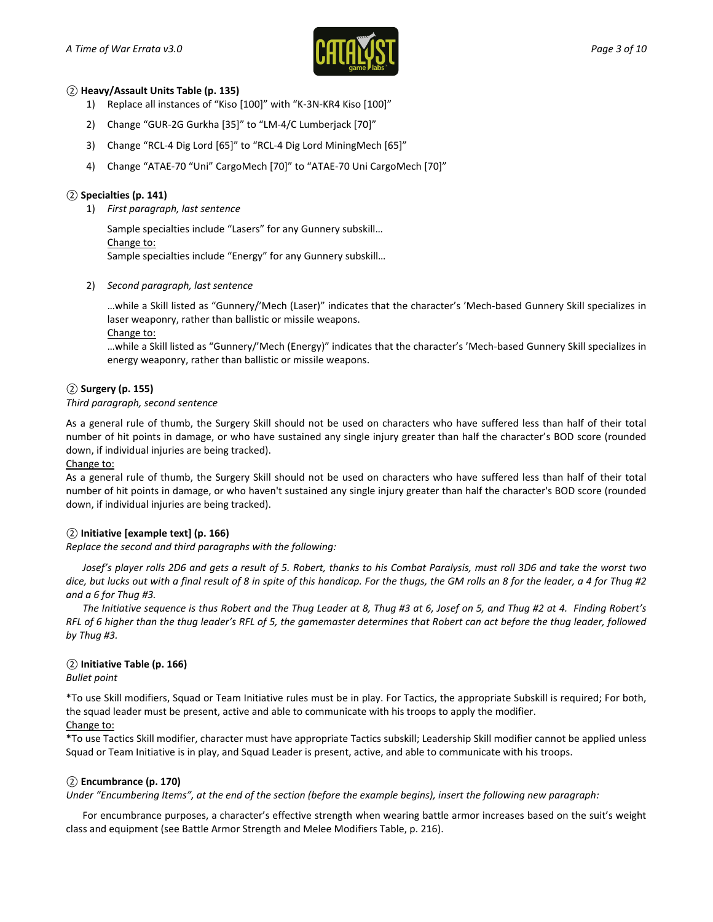

#### *②* **Heavy/Assault Units Table (p. 135)**

- 1) Replace all instances of "Kiso [100]" with "K-3N-KR4 Kiso [100]"
- 2) Change "GUR-2G Gurkha [35]" to "LM-4/C Lumberjack [70]"
- 3) Change "RCL-4 Dig Lord [65]" to "RCL-4 Dig Lord MiningMech [65]"
- 4) Change "ATAE-70 "Uni" CargoMech [70]" to "ATAE-70 Uni CargoMech [70]"

#### *②* **Specialties (p. 141)**

1) *First paragraph, last sentence*

Sample specialties include "Lasers" for any Gunnery subskill… Change to: Sample specialties include "Energy" for any Gunnery subskill…

2) *Second paragraph, last sentence*

…while a Skill listed as "Gunnery/'Mech (Laser)" indicates that the character's 'Mech-based Gunnery Skill specializes in laser weaponry, rather than ballistic or missile weapons.

Change to:

…while a Skill listed as "Gunnery/'Mech (Energy)" indicates that the character's 'Mech-based Gunnery Skill specializes in energy weaponry, rather than ballistic or missile weapons.

## *②* **Surgery (p. 155)**

#### *Third paragraph, second sentence*

As a general rule of thumb, the Surgery Skill should not be used on characters who have suffered less than half of their total number of hit points in damage, or who have sustained any single injury greater than half the character's BOD score (rounded down, if individual injuries are being tracked).

Change to:

As a general rule of thumb, the Surgery Skill should not be used on characters who have suffered less than half of their total number of hit points in damage, or who haven't sustained any single injury greater than half the character's BOD score (rounded down, if individual injuries are being tracked).

#### *②* **Initiative [example text] (p. 166)**

*Replace the second and third paragraphs with the following:*

*Josef's player rolls 2D6 and gets a result of 5. Robert, thanks to his Combat Paralysis, must roll 3D6 and take the worst two dice, but lucks out with a final result of 8 in spite of this handicap. For the thugs, the GM rolls an 8 for the leader, a 4 for Thug #2 and a 6 for Thug #3.*

*The Initiative sequence is thus Robert and the Thug Leader at 8, Thug #3 at 6, Josef on 5, and Thug #2 at 4. Finding Robert's RFL of 6 higher than the thug leader's RFL of 5, the gamemaster determines that Robert can act before the thug leader, followed by Thug #3.*

## *②* **Initiative Table (p. 166)**

*Bullet point*

\*To use Skill modifiers, Squad or Team Initiative rules must be in play. For Tactics, the appropriate Subskill is required; For both, the squad leader must be present, active and able to communicate with his troops to apply the modifier. Change to:

\*To use Tactics Skill modifier, character must have appropriate Tactics subskill; Leadership Skill modifier cannot be applied unless Squad or Team Initiative is in play, and Squad Leader is present, active, and able to communicate with his troops.

#### *②* **Encumbrance (p. 170)**

*Under "Encumbering Items", at the end of the section (before the example begins), insert the following new paragraph:*

For encumbrance purposes, a character's effective strength when wearing battle armor increases based on the suit's weight class and equipment (see Battle Armor Strength and Melee Modifiers Table, p. 216).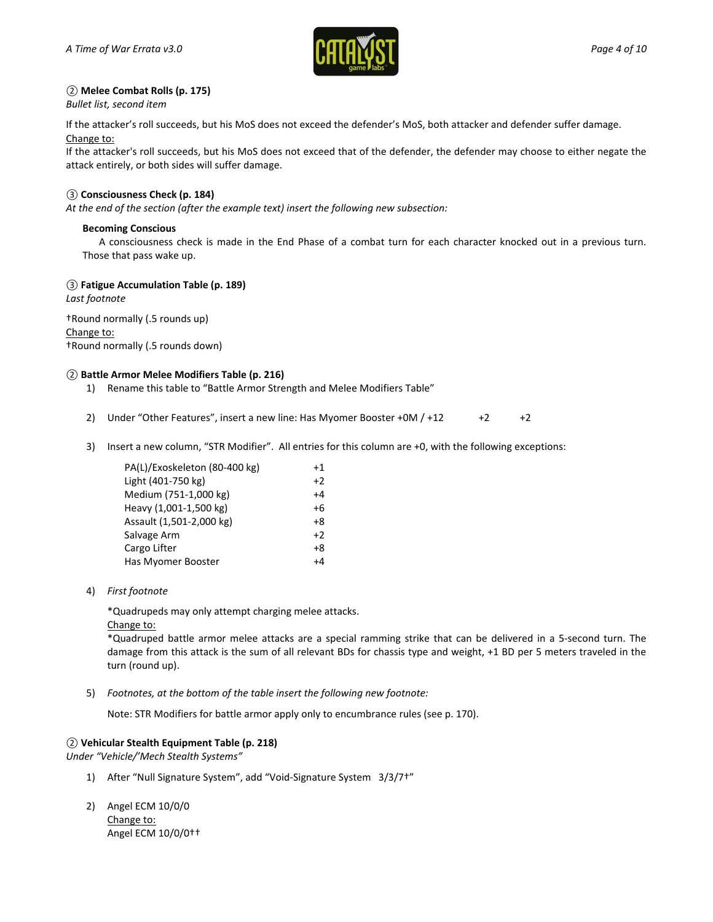

## *②* **Melee Combat Rolls (p. 175)**

*Bullet list, second item*

If the attacker's roll succeeds, but his MoS does not exceed the defender's MoS, both attacker and defender suffer damage. Change to:

If the attacker's roll succeeds, but his MoS does not exceed that of the defender, the defender may choose to either negate the attack entirely, or both sides will suffer damage.

#### *③* **Consciousness Check (p. 184)**

*At the end of the section (after the example text) insert the following new subsection:*

#### **Becoming Conscious**

A consciousness check is made in the End Phase of a combat turn for each character knocked out in a previous turn. Those that pass wake up.

#### *③* **Fatigue Accumulation Table (p. 189)**

*Last footnote*

†Round normally (.5 rounds up) Change to: †Round normally (.5 rounds down)

#### *②* **Battle Armor Melee Modifiers Table (p. 216)**

- 1) Rename this table to "Battle Armor Strength and Melee Modifiers Table"
- 2) Under "Other Features", insert a new line: Has Myomer Booster +0M  $/$  +12  $+2$  +2
- 3) Insert a new column, "STR Modifier". All entries for this column are +0, with the following exceptions:

| PA(L)/Exoskeleton (80-400 kg) | +1   |
|-------------------------------|------|
| Light (401-750 kg)            | $+2$ |
| Medium (751-1,000 kg)         | $+4$ |
| Heavy (1,001-1,500 kg)        | +6   |
| Assault (1,501-2,000 kg)      | $+8$ |
| Salvage Arm                   | $+2$ |
| Cargo Lifter                  | +8   |
| Has Myomer Booster            | +4   |
|                               |      |

4) *First footnote*

\*Quadrupeds may only attempt charging melee attacks.

Change to:

\*Quadruped battle armor melee attacks are a special ramming strike that can be delivered in a 5-second turn. The damage from this attack is the sum of all relevant BDs for chassis type and weight, +1 BD per 5 meters traveled in the turn (round up).

5) *Footnotes, at the bottom of the table insert the following new footnote:*

Note: STR Modifiers for battle armor apply only to encumbrance rules (see p. 170).

#### *②* **Vehicular Stealth Equipment Table (p. 218)**

*Under "Vehicle/'Mech Stealth Systems"*

- 1) After "Null Signature System", add "Void-Signature System 3/3/7†"
- 2) Angel ECM 10/0/0 Change to: Angel ECM 10/0/0††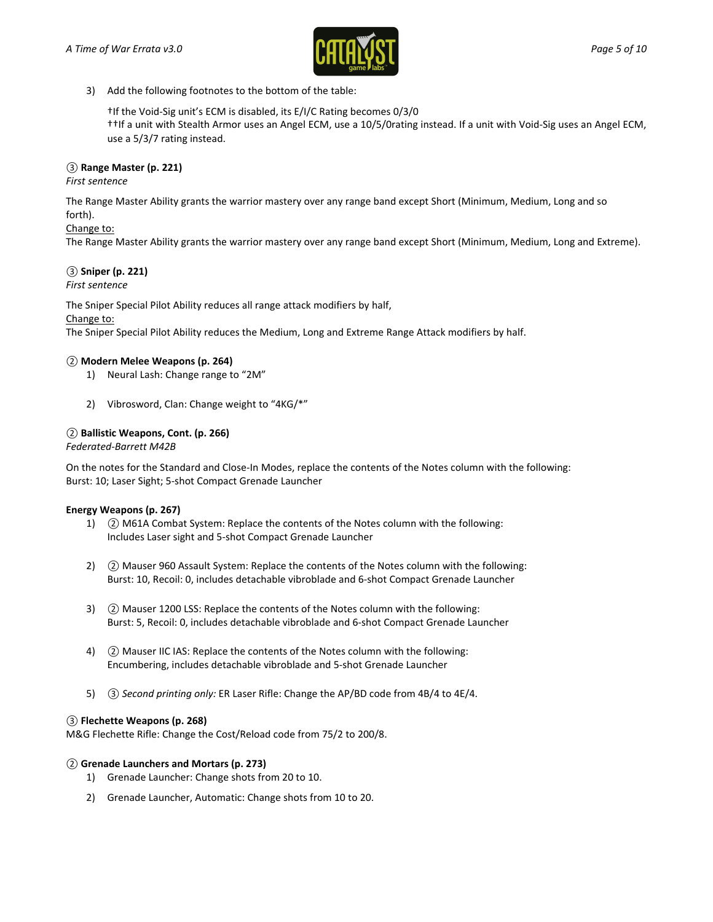

3) Add the following footnotes to the bottom of the table:

†If the Void-Sig unit's ECM is disabled, its E/I/C Rating becomes 0/3/0 ††If a unit with Stealth Armor uses an Angel ECM, use a 10/5/0rating instead. If a unit with Void-Sig uses an Angel ECM, use a 5/3/7 rating instead.

## *③* **Range Master (p. 221)**

*First sentence*

The Range Master Ability grants the warrior mastery over any range band except Short (Minimum, Medium, Long and so forth).

## Change to:

The Range Master Ability grants the warrior mastery over any range band except Short (Minimum, Medium, Long and Extreme).

## *③* **Sniper (p. 221)**

*First sentence*

The Sniper Special Pilot Ability reduces all range attack modifiers by half,

#### Change to:

The Sniper Special Pilot Ability reduces the Medium, Long and Extreme Range Attack modifiers by half.

## *②* **Modern Melee Weapons (p. 264)**

- 1) Neural Lash: Change range to "2M"
- 2) Vibrosword, Clan: Change weight to "4KG/\*"

## *②* **Ballistic Weapons, Cont. (p. 266)**

#### *Federated-Barrett M42B*

On the notes for the Standard and Close-In Modes, replace the contents of the Notes column with the following: Burst: 10; Laser Sight; 5-shot Compact Grenade Launcher

#### **Energy Weapons (p. 267)**

- 1) *②* M61A Combat System: Replace the contents of the Notes column with the following: Includes Laser sight and 5-shot Compact Grenade Launcher
- 2) *②* Mauser 960 Assault System: Replace the contents of the Notes column with the following: Burst: 10, Recoil: 0, includes detachable vibroblade and 6-shot Compact Grenade Launcher
- 3) *②* Mauser 1200 LSS: Replace the contents of the Notes column with the following: Burst: 5, Recoil: 0, includes detachable vibroblade and 6-shot Compact Grenade Launcher
- 4) *②* Mauser IIC IAS: Replace the contents of the Notes column with the following: Encumbering, includes detachable vibroblade and 5-shot Grenade Launcher
- 5) *③ Second printing only:* ER Laser Rifle: Change the AP/BD code from 4B/4 to 4E/4.

#### *③* **Flechette Weapons (p. 268)**

M&G Flechette Rifle: Change the Cost/Reload code from 75/2 to 200/8.

#### *②* **Grenade Launchers and Mortars (p. 273)**

- 1) Grenade Launcher: Change shots from 20 to 10.
- 2) Grenade Launcher, Automatic: Change shots from 10 to 20.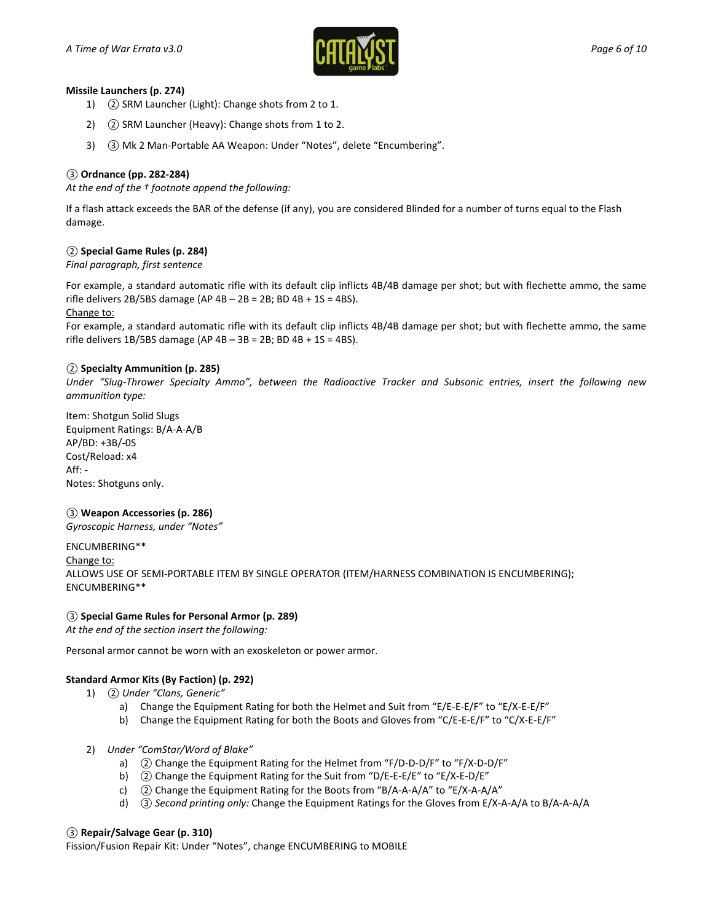

## **Missile Launchers (p. 274)**

- 1) *②* SRM Launcher (Light): Change shots from 2 to 1.
- 2) *②* SRM Launcher (Heavy): Change shots from 1 to 2.
- 3) *③* Mk 2 Man-Portable AA Weapon: Under "Notes", delete "Encumbering".

## *③* **Ordnance (pp. 282-284)**

*At the end of the † footnote append the following:*

If a flash attack exceeds the BAR of the defense (if any), you are considered Blinded for a number of turns equal to the Flash damage.

## *②* **Special Game Rules (p. 284)**

*Final paragraph, first sentence*

For example, a standard automatic rifle with its default clip inflicts 4B/4B damage per shot; but with flechette ammo, the same rifle delivers 2B/5BS damage (AP  $4B - 2B = 2B$ ; BD  $4B + 1S = 4BS$ ). Change to:

For example, a standard automatic rifle with its default clip inflicts 4B/4B damage per shot; but with flechette ammo, the same rifle delivers 1B/5BS damage (AP  $4B - 3B = 2B$ ; BD  $4B + 1S = 4BS$ ).

## *②* **Specialty Ammunition (p. 285)**

*Under "Slug-Thrower Specialty Ammo", between the Radioactive Tracker and Subsonic entries, insert the following new ammunition type:*

Item: Shotgun Solid Slugs Equipment Ratings: B/A-A-A/B AP/BD: +3B/-0S Cost/Reload: x4 Aff: - Notes: Shotguns only.

## *③* **Weapon Accessories (p. 286)**

*Gyroscopic Harness, under "Notes"*

ENCUMBERING\*\* Change to: ALLOWS USE OF SEMI-PORTABLE ITEM BY SINGLE OPERATOR (ITEM/HARNESS COMBINATION IS ENCUMBERING); ENCUMBERING\*\*

## *③* **Special Game Rules for Personal Armor (p. 289)**

*At the end of the section insert the following:*

Personal armor cannot be worn with an exoskeleton or power armor.

## **Standard Armor Kits (By Faction) (p. 292)**

- 1) *② Under "Clans, Generic"*
	- a) Change the Equipment Rating for both the Helmet and Suit from "E/E-E-E/F" to "E/X-E-E/F"
	- b) Change the Equipment Rating for both the Boots and Gloves from "C/E-E-E/F" to "C/X-E-E/F"
- 2) *Under "ComStar/Word of Blake"*
	- a) *②* Change the Equipment Rating for the Helmet from "F/D-D-D/F" to "F/X-D-D/F"
	- b) *②* Change the Equipment Rating for the Suit from "D/E-E-E/E" to "E/X-E-D/E"
	- c) *②* Change the Equipment Rating for the Boots from "B/A-A-A/A" to "E/X-A-A/A"
	- d) *③ Second printing only:* Change the Equipment Ratings for the Gloves from E/X-A-A/A to B/A-A-A/A

## *③* **Repair/Salvage Gear (p. 310)**

Fission/Fusion Repair Kit: Under "Notes", change ENCUMBERING to MOBILE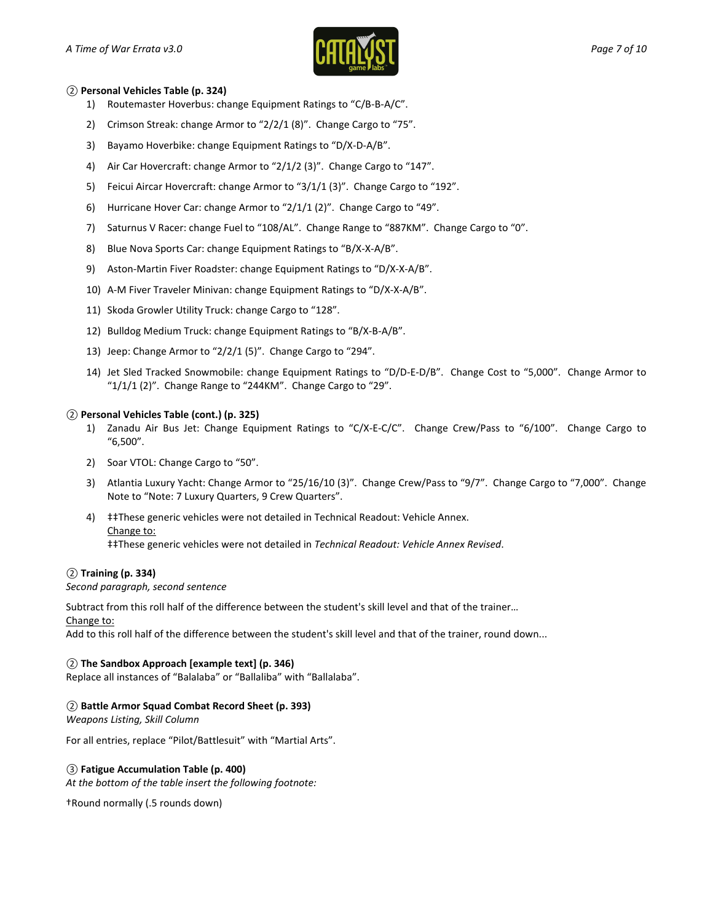

#### *②* **Personal Vehicles Table (p. 324)**

- 1) Routemaster Hoverbus: change Equipment Ratings to "C/B-B-A/C".
- 2) Crimson Streak: change Armor to "2/2/1 (8)". Change Cargo to "75".
- 3) Bayamo Hoverbike: change Equipment Ratings to "D/X-D-A/B".
- 4) Air Car Hovercraft: change Armor to "2/1/2 (3)". Change Cargo to "147".
- 5) Feicui Aircar Hovercraft: change Armor to "3/1/1 (3)". Change Cargo to "192".
- 6) Hurricane Hover Car: change Armor to "2/1/1 (2)". Change Cargo to "49".
- 7) Saturnus V Racer: change Fuel to "108/AL". Change Range to "887KM". Change Cargo to "0".
- 8) Blue Nova Sports Car: change Equipment Ratings to "B/X-X-A/B".
- 9) Aston-Martin Fiver Roadster: change Equipment Ratings to "D/X-X-A/B".
- 10) A-M Fiver Traveler Minivan: change Equipment Ratings to "D/X-X-A/B".
- 11) Skoda Growler Utility Truck: change Cargo to "128".
- 12) Bulldog Medium Truck: change Equipment Ratings to "B/X-B-A/B".
- 13) Jeep: Change Armor to "2/2/1 (5)". Change Cargo to "294".
- 14) Jet Sled Tracked Snowmobile: change Equipment Ratings to "D/D-E-D/B". Change Cost to "5,000". Change Armor to "1/1/1 (2)". Change Range to "244KM". Change Cargo to "29".

## *②* **Personal Vehicles Table (cont.) (p. 325)**

- 1) Zanadu Air Bus Jet: Change Equipment Ratings to "C/X-E-C/C". Change Crew/Pass to "6/100". Change Cargo to "6,500".
- 2) Soar VTOL: Change Cargo to "50".
- 3) Atlantia Luxury Yacht: Change Armor to "25/16/10 (3)". Change Crew/Pass to "9/7". Change Cargo to "7,000". Change Note to "Note: 7 Luxury Quarters, 9 Crew Quarters".
- 4) ‡‡These generic vehicles were not detailed in Technical Readout: Vehicle Annex. Change to: ‡‡These generic vehicles were not detailed in *Technical Readout: Vehicle Annex Revised*.

#### *②* **Training (p. 334)**

#### *Second paragraph, second sentence*

Subtract from this roll half of the difference between the student's skill level and that of the trainer…

Change to:

Add to this roll half of the difference between the student's skill level and that of the trainer, round down...

#### *②* **The Sandbox Approach [example text] (p. 346)**

Replace all instances of "Balalaba" or "Ballaliba" with "Ballalaba".

## *②* **Battle Armor Squad Combat Record Sheet (p. 393)**

*Weapons Listing, Skill Column*

For all entries, replace "Pilot/Battlesuit" with "Martial Arts".

#### *③* **Fatigue Accumulation Table (p. 400)**

*At the bottom of the table insert the following footnote:*

†Round normally (.5 rounds down)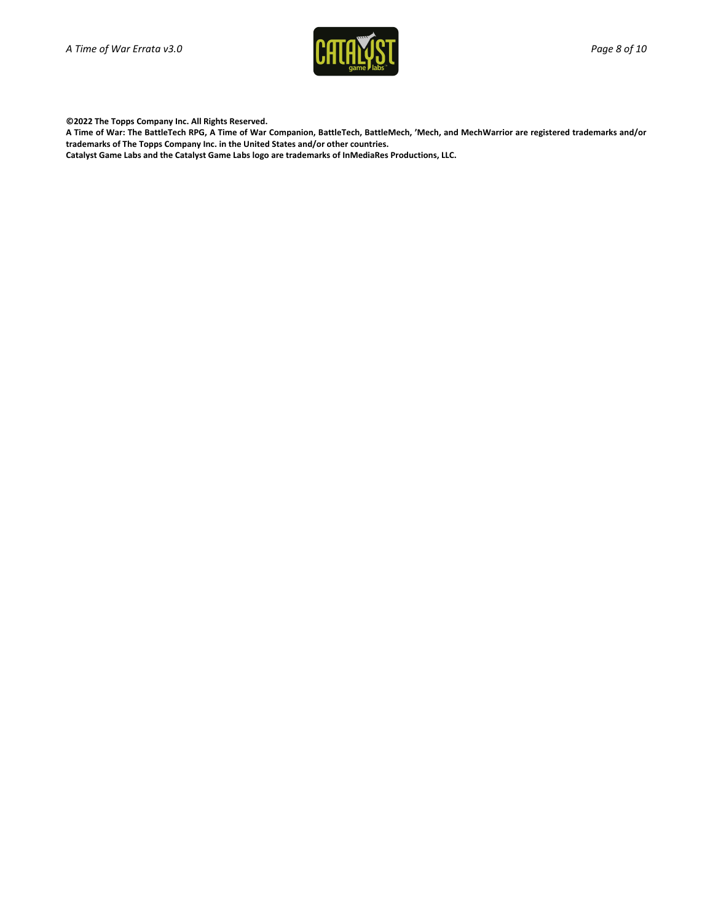

**©2022 The Topps Company Inc. All Rights Reserved.**

**A Time of War: The BattleTech RPG, A Time of War Companion, BattleTech, BattleMech, 'Mech, and MechWarrior are registered trademarks and/or trademarks of The Topps Company Inc. in the United States and/or other countries.**

**Catalyst Game Labs and the Catalyst Game Labs logo are trademarks of InMediaRes Productions, LLC.**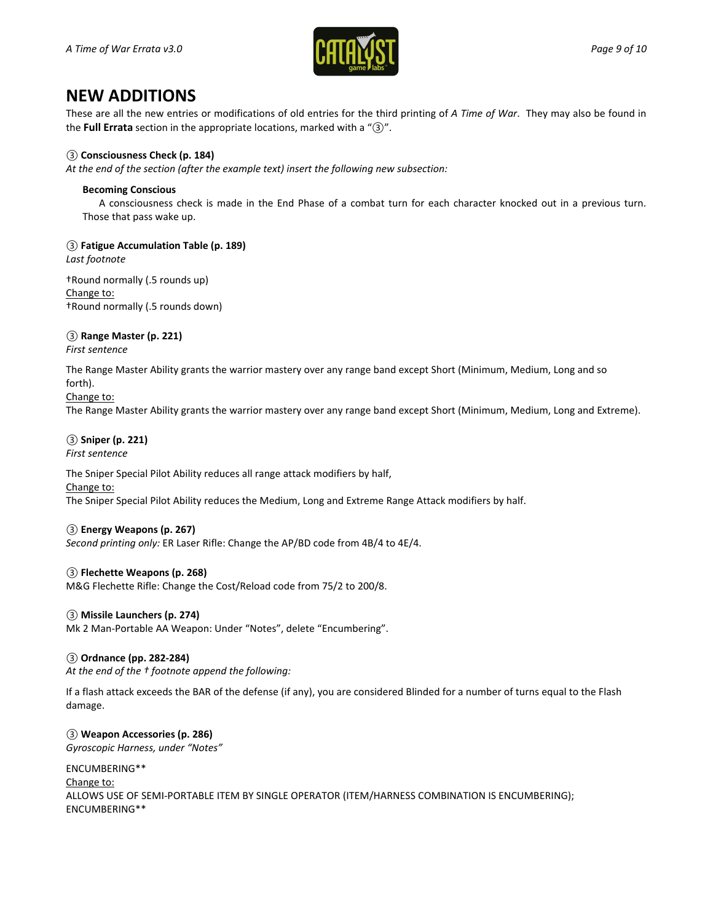

# **NEW ADDITIONS**

These are all the new entries or modifications of old entries for the third printing of *A Time of War*. They may also be found in the **Full Errata** section in the appropriate locations, marked with a "*③*".

## *③* **Consciousness Check (p. 184)**

*At the end of the section (after the example text) insert the following new subsection:*

#### **Becoming Conscious**

A consciousness check is made in the End Phase of a combat turn for each character knocked out in a previous turn. Those that pass wake up.

*③* **Fatigue Accumulation Table (p. 189)**

*Last footnote*

†Round normally (.5 rounds up) Change to: †Round normally (.5 rounds down)

## *③* **Range Master (p. 221)**

*First sentence*

The Range Master Ability grants the warrior mastery over any range band except Short (Minimum, Medium, Long and so forth).

#### Change to:

The Range Master Ability grants the warrior mastery over any range band except Short (Minimum, Medium, Long and Extreme).

#### *③* **Sniper (p. 221)** *First sentence*

The Sniper Special Pilot Ability reduces all range attack modifiers by half, Change to:

The Sniper Special Pilot Ability reduces the Medium, Long and Extreme Range Attack modifiers by half.

#### *③* **Energy Weapons (p. 267)**

*Second printing only:* ER Laser Rifle: Change the AP/BD code from 4B/4 to 4E/4.

## *③* **Flechette Weapons (p. 268)**

M&G Flechette Rifle: Change the Cost/Reload code from 75/2 to 200/8.

## *③* **Missile Launchers (p. 274)**

Mk 2 Man-Portable AA Weapon: Under "Notes", delete "Encumbering".

#### *③* **Ordnance (pp. 282-284)**

*At the end of the † footnote append the following:*

If a flash attack exceeds the BAR of the defense (if any), you are considered Blinded for a number of turns equal to the Flash damage.

## *③* **Weapon Accessories (p. 286)**

*Gyroscopic Harness, under "Notes"*

ENCUMBERING\*\* Change to: ALLOWS USE OF SEMI-PORTABLE ITEM BY SINGLE OPERATOR (ITEM/HARNESS COMBINATION IS ENCUMBERING); ENCUMBERING\*\*